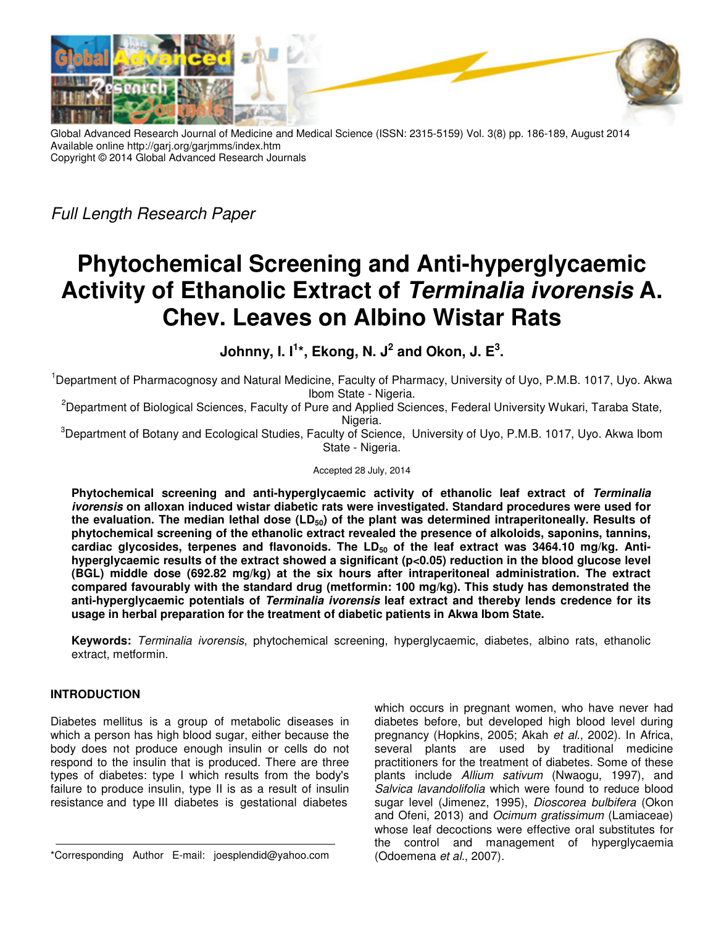

Global Advanced Research Journal of Medicine and Medical Science (ISSN: 2315-5159) Vol. 3(8) pp. 186-189, August 2014 Available online http://garj.org/garjmms/index.htm Copyright © 2014 Global Advanced Research Journals

*Full Length Research Paper* 

# **Phytochemical Screening and Anti-hyperglycaemic Activity of Ethanolic Extract of Terminalia ivorensis A. Chev. Leaves on Albino Wistar Rats**

**Johnny, I. I<sup>1</sup> \*, Ekong, N. J<sup>2</sup> and Okon, J. E<sup>3</sup> .** 

<sup>1</sup>Department of Pharmacognosy and Natural Medicine, Faculty of Pharmacy, University of Uyo, P.M.B. 1017, Uyo. Akwa Ibom State - Nigeria.

<sup>2</sup>Department of Biological Sciences, Faculty of Pure and Applied Sciences, Federal University Wukari, Taraba State, Nigeria.

<sup>3</sup>Department of Botany and Ecological Studies, Faculty of Science, University of Uyo, P.M.B. 1017, Uyo. Akwa Ibom State - Nigeria.

Accepted 28 July, 2014

**Phytochemical screening and anti-hyperglycaemic activity of ethanolic leaf extract of Terminalia ivorensis on alloxan induced wistar diabetic rats were investigated. Standard procedures were used for the evaluation. The median lethal dose (LD50) of the plant was determined intraperitoneally. Results of phytochemical screening of the ethanolic extract revealed the presence of alkoloids, saponins, tannins, cardiac glycosides, terpenes and flavonoids. The LD50 of the leaf extract was 3464.10 mg/kg. Antihyperglycaemic results of the extract showed a significant (p<0.05) reduction in the blood glucose level (BGL) middle dose (692.82 mg/kg) at the six hours after intraperitoneal administration. The extract compared favourably with the standard drug (metformin: 100 mg/kg). This study has demonstrated the anti-hyperglycaemic potentials of Terminalia ivorensis leaf extract and thereby lends credence for its usage in herbal preparation for the treatment of diabetic patients in Akwa Ibom State.** 

**Keywords:** *Terminalia ivorensis*, phytochemical screening, hyperglycaemic, diabetes, albino rats, ethanolic extract, metformin.

# **INTRODUCTION**

Diabetes mellitus is a group of metabolic diseases in which a person has high blood sugar, either because the body does not produce enough insulin or cells do not respond to the insulin that is produced. There are three types of diabetes: type I which results from the body's failure to produce insulin, type II is as a result of insulin resistance and type III diabetes is gestational diabetes

\*Corresponding Author E-mail: joesplendid@yahoo.com

which occurs in pregnant women, who have never had diabetes before, but developed high blood level during pregnancy (Hopkins, 2005; Akah *et al.,* 2002). In Africa, several plants are used by traditional medicine practitioners for the treatment of diabetes. Some of these plants include *Allium sativum* (Nwaogu, 1997), and *Salvica lavandolifolia* which were found to reduce blood sugar level (Jimenez, 1995), *Dioscorea bulbifera* (Okon and Ofeni, 2013) and *Ocimum gratissimum* (Lamiaceae) whose leaf decoctions were effective oral substitutes for the control and management of hyperglycaemia (Odoemena *et al.*, 2007).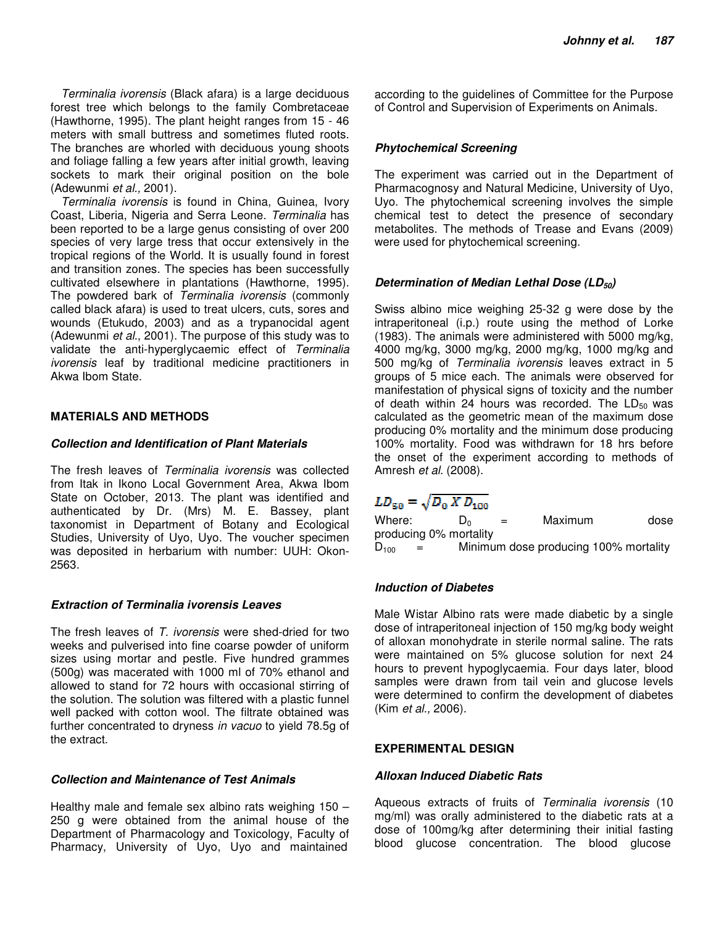*Terminalia ivorensis* (Black afara) is a large deciduous forest tree which belongs to the family Combretaceae (Hawthorne, 1995). The plant height ranges from 15 - 46 meters with small buttress and sometimes fluted roots. The branches are whorled with deciduous young shoots and foliage falling a few years after initial growth, leaving sockets to mark their original position on the bole (Adewunmi *et al.,* 2001).

*Terminalia ivorensis* is found in China, Guinea, Ivory Coast, Liberia, Nigeria and Serra Leone. *Terminalia* has been reported to be a large genus consisting of over 200 species of very large tress that occur extensively in the tropical regions of the World. It is usually found in forest and transition zones. The species has been successfully cultivated elsewhere in plantations (Hawthorne, 1995). The powdered bark of *Terminalia ivorensis* (commonly called black afara) is used to treat ulcers, cuts, sores and wounds (Etukudo, 2003) and as a trypanocidal agent (Adewunmi *et al.*, 2001). The purpose of this study was to validate the anti-hyperglycaemic effect of *Terminalia ivorensis* leaf by traditional medicine practitioners in Akwa Ibom State.

# **MATERIALS AND METHODS**

# **Collection and Identification of Plant Materials**

The fresh leaves of *Terminalia ivorensis* was collected from Itak in Ikono Local Government Area, Akwa Ibom State on October, 2013. The plant was identified and authenticated by Dr. (Mrs) M. E. Bassey, plant taxonomist in Department of Botany and Ecological Studies, University of Uyo, Uyo. The voucher specimen was deposited in herbarium with number: UUH: Okon-2563.

### **Extraction of Terminalia ivorensis Leaves**

The fresh leaves of *T. ivorensis* were shed-dried for two weeks and pulverised into fine coarse powder of uniform sizes using mortar and pestle. Five hundred grammes (500g) was macerated with 1000 ml of 70% ethanol and allowed to stand for 72 hours with occasional stirring of the solution. The solution was filtered with a plastic funnel well packed with cotton wool. The filtrate obtained was further concentrated to dryness *in vacuo* to yield 78.5g of the extract.

# **Collection and Maintenance of Test Animals**

Healthy male and female sex albino rats weighing 150 – 250 g were obtained from the animal house of the Department of Pharmacology and Toxicology, Faculty of Pharmacy, University of Uyo, Uyo and maintained

according to the guidelines of Committee for the Purpose of Control and Supervision of Experiments on Animals.

# **Phytochemical Screening**

The experiment was carried out in the Department of Pharmacognosy and Natural Medicine, University of Uyo, Uyo. The phytochemical screening involves the simple chemical test to detect the presence of secondary metabolites. The methods of Trease and Evans (2009) were used for phytochemical screening.

# **Determination of Median Lethal Dose (LD**<sub>50</sub>)

Swiss albino mice weighing 25-32 g were dose by the intraperitoneal (i.p.) route using the method of Lorke (1983). The animals were administered with 5000 mg/kg, 4000 mg/kg, 3000 mg/kg, 2000 mg/kg, 1000 mg/kg and 500 mg/kg of *Terminalia ivorensis* leaves extract in 5 groups of 5 mice each. The animals were observed for manifestation of physical signs of toxicity and the number of death within 24 hours was recorded. The  $LD_{50}$  was calculated as the geometric mean of the maximum dose producing 0% mortality and the minimum dose producing 100% mortality. Food was withdrawn for 18 hrs before the onset of the experiment according to methods of Amresh *et al.* (2008).

# $LD_{50} = \sqrt{D_0 X D_{100}}$

Where:  $D_0 = Maximum$  dose producing 0% mortality  $D_{100}$  = Minimum dose producing 100% mortality

# **Induction of Diabetes**

Male Wistar Albino rats were made diabetic by a single dose of intraperitoneal injection of 150 mg/kg body weight of alloxan monohydrate in sterile normal saline. The rats were maintained on 5% glucose solution for next 24 hours to prevent hypoglycaemia. Four days later, blood samples were drawn from tail vein and glucose levels were determined to confirm the development of diabetes (Kim *et al.,* 2006).

# **EXPERIMENTAL DESIGN**

# **Alloxan Induced Diabetic Rats**

Aqueous extracts of fruits of *Terminalia ivorensis* (10 mg/ml) was orally administered to the diabetic rats at a dose of 100mg/kg after determining their initial fasting blood glucose concentration. The blood glucose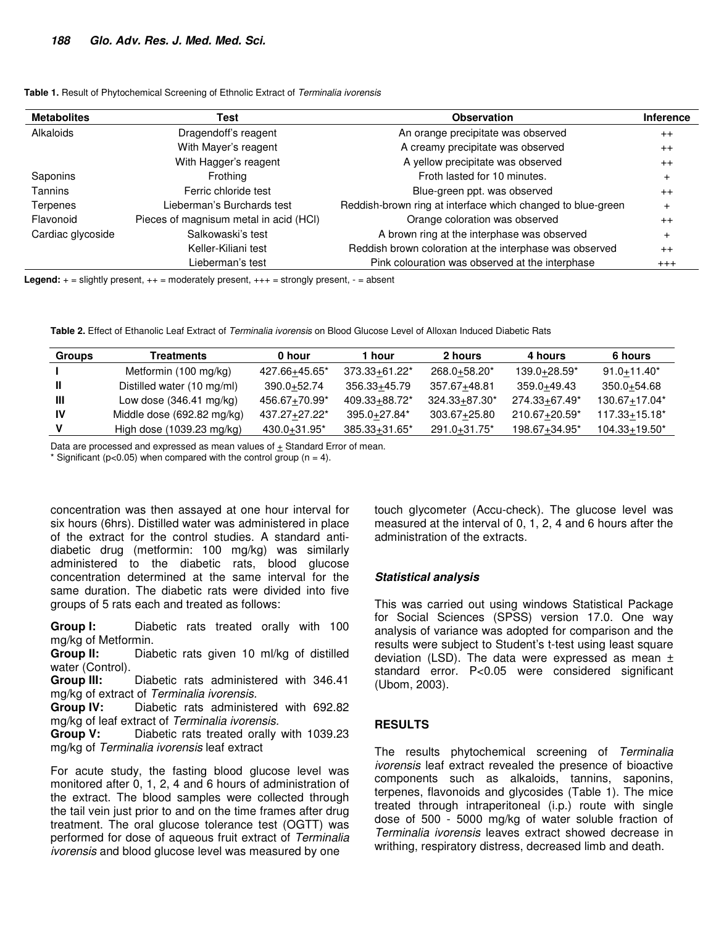| <b>Metabolites</b> | <b>Observation</b><br>Test             |                                                             | <b>Inference</b> |
|--------------------|----------------------------------------|-------------------------------------------------------------|------------------|
| Alkaloids          | Dragendoff's reagent                   | An orange precipitate was observed                          | $++$             |
|                    | With Mayer's reagent                   | A creamy precipitate was observed                           | $++$             |
|                    | With Hagger's reagent                  | A yellow precipitate was observed                           | $++$             |
| Saponins           | Frothing                               | Froth lasted for 10 minutes.                                | $\ddot{}$        |
| Tannins            | Ferric chloride test                   | Blue-green ppt. was observed                                | $++$             |
| Terpenes           | Lieberman's Burchards test             | Reddish-brown ring at interface which changed to blue-green | $\ddot{}$        |
| Flavonoid          | Pieces of magnisum metal in acid (HCI) | Orange coloration was observed                              | $++$             |
| Cardiac glycoside  | Salkowaski's test                      | A brown ring at the interphase was observed                 | $\ddot{}$        |
|                    | Keller-Kiliani test                    | Reddish brown coloration at the interphase was observed     | $++$             |
|                    | Lieberman's test                       | Pink colouration was observed at the interphase             | $^{+++}$         |

**Table 1.** Result of Phytochemical Screening of Ethnolic Extract of *Terminalia ivorensis*

**Legend:**  $+$  = slightly present,  $++$  = moderately present,  $++$  = strongly present,  $-$  = absent

**Table 2.** Effect of Ethanolic Leaf Extract of *Terminalia ivorensis* on Blood Glucose Level of Alloxan Induced Diabetic Rats

| <b>Groups</b> | Treatments                        | 0 hour          | hour               | 2 hours       | 4 hours       | 6 hours           |
|---------------|-----------------------------------|-----------------|--------------------|---------------|---------------|-------------------|
|               | Metformin (100 mg/kg)             | 427.66+45.65*   | 373.33+61.22*      | 268.0+58.20*  | 139.0+28.59*  | $91.0 + 11.40*$   |
|               | Distilled water (10 mg/ml)        | $390.0 + 52.74$ | 356.33+45.79       | 357.67+48.81  | 359.0+49.43   | 350.0+54.68       |
| Ш             | Low dose $(346.41 \text{ mg/kg})$ | 456.67+70.99*   | 409.33+88.72*      | 324.33+87.30* | 274.33+67.49* | 130.67+17.04*     |
| 1V            | Middle dose (692.82 mg/kg)        | 437.27+27.22*   | 395.0+27.84*       | 303.67+25.80  | 210.67+20.59* | 117.33+15.18*     |
|               | High dose (1039.23 mg/kg)         | 430.0+31.95*    | $385.33 + 31.65^*$ | 291.0+31.75*  | 198.67+34.95* | $104.33 + 19.50*$ |

Data are processed and expressed as mean values of + Standard Error of mean.

\* Significant ( $p$ <0.05) when compared with the control group ( $n = 4$ ).

concentration was then assayed at one hour interval for six hours (6hrs). Distilled water was administered in place of the extract for the control studies. A standard antidiabetic drug (metformin: 100 mg/kg) was similarly administered to the diabetic rats, blood glucose concentration determined at the same interval for the same duration. The diabetic rats were divided into five groups of 5 rats each and treated as follows:

**Group I:** Diabetic rats treated orally with 100 mg/kg of Metformin.

**Group II:** Diabetic rats given 10 ml/kg of distilled water (Control).

**Group III:** Diabetic rats administered with 346.41 mg/kg of extract of *Terminalia ivorensis.* 

**Group IV:** Diabetic rats administered with 692.82 mg/kg of leaf extract of *Terminalia ivorensis.* 

**Group V:** Diabetic rats treated orally with 1039.23 mg/kg of *Terminalia ivorensis* leaf extract

For acute study, the fasting blood glucose level was monitored after 0, 1, 2, 4 and 6 hours of administration of the extract. The blood samples were collected through the tail vein just prior to and on the time frames after drug treatment. The oral glucose tolerance test (OGTT) was performed for dose of aqueous fruit extract of *Terminalia ivorensis* and blood glucose level was measured by one

touch glycometer (Accu-check). The glucose level was measured at the interval of 0, 1, 2, 4 and 6 hours after the administration of the extracts.

# **Statistical analysis**

This was carried out using windows Statistical Package for Social Sciences (SPSS) version 17.0. One way analysis of variance was adopted for comparison and the results were subject to Student's t-test using least square deviation (LSD). The data were expressed as mean  $\pm$ standard error. P<0.05 were considered significant (Ubom, 2003).

### **RESULTS**

The results phytochemical screening of *Terminalia ivorensis* leaf extract revealed the presence of bioactive components such as alkaloids, tannins, saponins, terpenes, flavonoids and glycosides (Table 1). The mice treated through intraperitoneal (i.p.) route with single dose of 500 - 5000 mg/kg of water soluble fraction of *Terminalia ivorensis* leaves extract showed decrease in writhing, respiratory distress, decreased limb and death.